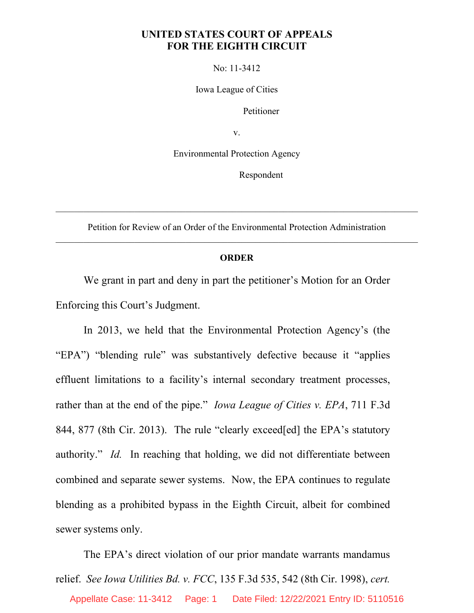## **UNITED STATES COURT OF APPEALS FOR THE EIGHTH CIRCUIT**

No: 11-3412

Iowa League of Cities

Petitioner

v.

Environmental Protection Agency

Respondent

Petition for Review of an Order of the Environmental Protection Administration \_\_\_\_\_\_\_\_\_\_\_\_\_\_\_\_\_\_\_\_\_\_\_\_\_\_\_\_\_\_\_\_\_\_\_\_\_\_\_\_\_\_\_\_\_\_\_\_\_\_\_\_\_\_\_\_\_\_\_\_\_\_\_\_\_\_\_\_\_\_\_\_\_\_\_\_\_\_

\_\_\_\_\_\_\_\_\_\_\_\_\_\_\_\_\_\_\_\_\_\_\_\_\_\_\_\_\_\_\_\_\_\_\_\_\_\_\_\_\_\_\_\_\_\_\_\_\_\_\_\_\_\_\_\_\_\_\_\_\_\_\_\_\_\_\_\_\_\_\_\_\_\_\_\_\_\_

## **ORDER**

We grant in part and deny in part the petitioner's Motion for an Order Enforcing this Court's Judgment.

In 2013, we held that the Environmental Protection Agency's (the "EPA") "blending rule" was substantively defective because it "applies effluent limitations to a facility's internal secondary treatment processes, rather than at the end of the pipe." *Iowa League of Cities v. EPA*, 711 F.3d 844, 877 (8th Cir. 2013). The rule "clearly exceed[ed] the EPA's statutory authority." *Id.* In reaching that holding, we did not differentiate between combined and separate sewer systems. Now, the EPA continues to regulate blending as a prohibited bypass in the Eighth Circuit, albeit for combined sewer systems only.

The EPA's direct violation of our prior mandate warrants mandamus relief. *See Iowa Utilities Bd. v. FCC*, 135 F.3d 535, 542 (8th Cir. 1998), *cert.*  Appellate Case: 11-3412 Page: 1 Date Filed: 12/22/2021 Entry ID: 5110516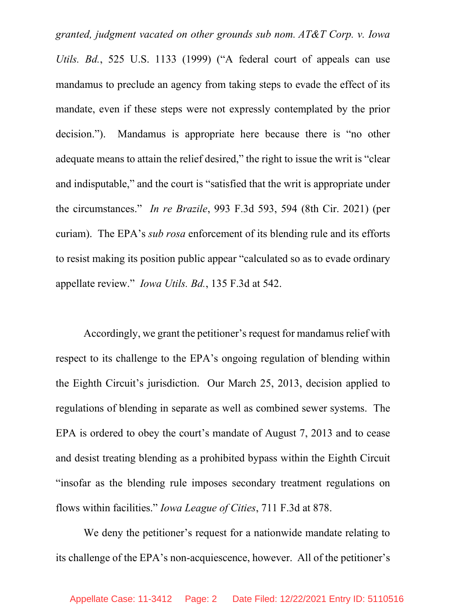*granted, judgment vacated on other grounds sub nom. AT&T Corp. v. Iowa Utils. Bd.*, 525 U.S. 1133 (1999) ("A federal court of appeals can use mandamus to preclude an agency from taking steps to evade the effect of its mandate, even if these steps were not expressly contemplated by the prior decision."). Mandamus is appropriate here because there is "no other adequate means to attain the relief desired," the right to issue the writ is "clear and indisputable," and the court is "satisfied that the writ is appropriate under the circumstances." *In re Brazile*, 993 F.3d 593, 594 (8th Cir. 2021) (per curiam). The EPA's *sub rosa* enforcement of its blending rule and its efforts to resist making its position public appear "calculated so as to evade ordinary appellate review." *Iowa Utils. Bd.*, 135 F.3d at 542.

Accordingly, we grant the petitioner's request for mandamus relief with respect to its challenge to the EPA's ongoing regulation of blending within the Eighth Circuit's jurisdiction. Our March 25, 2013, decision applied to regulations of blending in separate as well as combined sewer systems. The EPA is ordered to obey the court's mandate of August 7, 2013 and to cease and desist treating blending as a prohibited bypass within the Eighth Circuit "insofar as the blending rule imposes secondary treatment regulations on flows within facilities." *Iowa League of Cities*, 711 F.3d at 878.

We deny the petitioner's request for a nationwide mandate relating to its challenge of the EPA's non-acquiescence, however. All of the petitioner's